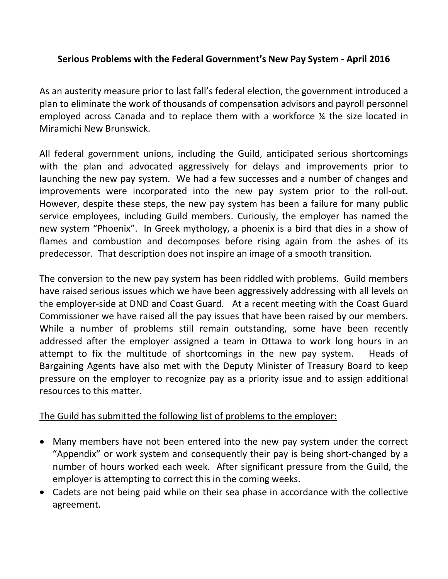## **Serious Problems with the Federal Government's New Pay System - April 2016**

As an austerity measure prior to last fall's federal election, the government introduced a plan to eliminate the work of thousands of compensation advisors and payroll personnel employed across Canada and to replace them with a workforce ¼ the size located in Miramichi New Brunswick.

All federal government unions, including the Guild, anticipated serious shortcomings with the plan and advocated aggressively for delays and improvements prior to launching the new pay system. We had a few successes and a number of changes and improvements were incorporated into the new pay system prior to the roll-out. However, despite these steps, the new pay system has been a failure for many public service employees, including Guild members. Curiously, the employer has named the new system "Phoenix". In Greek mythology, a phoenix is a bird that dies in a show of flames and combustion and decomposes before rising again from the ashes of its predecessor. That description does not inspire an image of a smooth transition.

The conversion to the new pay system has been riddled with problems. Guild members have raised serious issues which we have been aggressively addressing with all levels on the employer-side at DND and Coast Guard. At a recent meeting with the Coast Guard Commissioner we have raised all the pay issues that have been raised by our members. While a number of problems still remain outstanding, some have been recently addressed after the employer assigned a team in Ottawa to work long hours in an attempt to fix the multitude of shortcomings in the new pay system. Heads of Bargaining Agents have also met with the Deputy Minister of Treasury Board to keep pressure on the employer to recognize pay as a priority issue and to assign additional resources to this matter.

## The Guild has submitted the following list of problems to the employer:

- Many members have not been entered into the new pay system under the correct "Appendix" or work system and consequently their pay is being short-changed by a number of hours worked each week. After significant pressure from the Guild, the employer is attempting to correct this in the coming weeks.
- Cadets are not being paid while on their sea phase in accordance with the collective agreement.